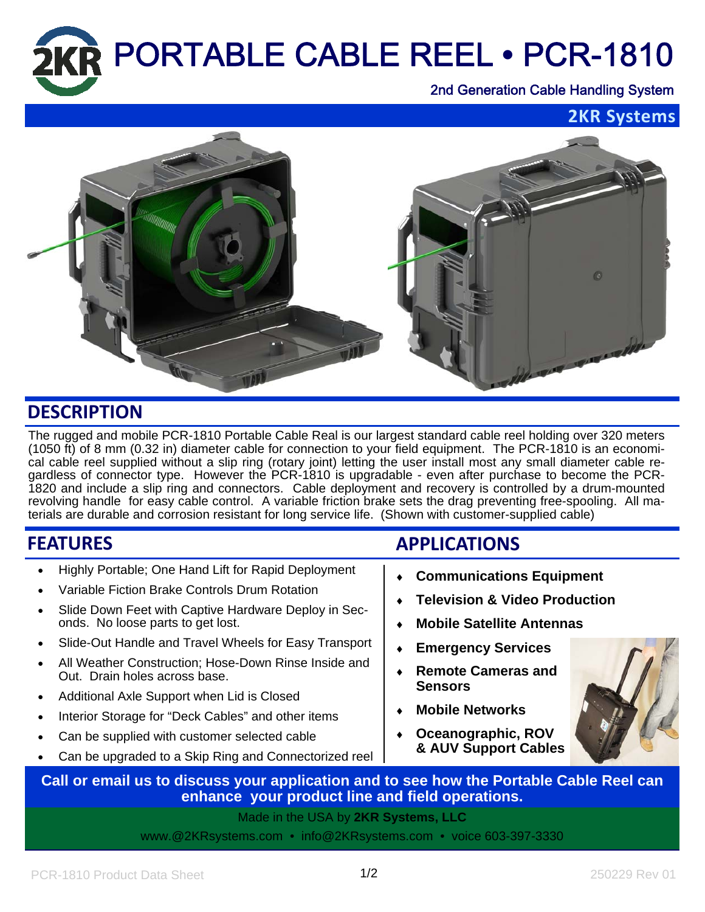

**2KR Systems**



## **DESCRIPTION**

The rugged and mobile PCR-1810 Portable Cable Real is our largest standard cable reel holding over 320 meters (1050 ft) of 8 mm (0.32 in) diameter cable for connection to your field equipment. The PCR-1810 is an economical cable reel supplied without a slip ring (rotary joint) letting the user install most any small diameter cable regardless of connector type. However the PCR-1810 is upgradable - even after purchase to become the PCR-1820 and include a slip ring and connectors. Cable deployment and recovery is controlled by a drum-mounted revolving handle for easy cable control. A variable friction brake sets the drag preventing free-spooling. All materials are durable and corrosion resistant for long service life. (Shown with customer-supplied cable)

| <b>FEATURES</b>             |                                                                                                                                                                                                           | <b>APPLICATIONS</b>                                                                                             |                                                                                                                                                  |  |
|-----------------------------|-----------------------------------------------------------------------------------------------------------------------------------------------------------------------------------------------------------|-----------------------------------------------------------------------------------------------------------------|--------------------------------------------------------------------------------------------------------------------------------------------------|--|
| $\bullet$<br>$\bullet$      | Highly Portable; One Hand Lift for Rapid Deployment<br>Variable Fiction Brake Controls Drum Rotation<br>Slide Down Feet with Captive Hardware Deploy in Sec-<br>onds. No loose parts to get lost.         | <b>Communications Equipment</b><br><b>Television &amp; Video Production</b><br><b>Mobile Satellite Antennas</b> |                                                                                                                                                  |  |
| $\bullet$<br>$\bullet$      | Slide-Out Handle and Travel Wheels for Easy Transport<br>All Weather Construction; Hose-Down Rinse Inside and<br>Out. Drain holes across base.                                                            |                                                                                                                 | <b>Emergency Services</b><br><b>Remote Cameras and</b><br><b>Sensors</b><br><b>Mobile Networks</b><br>Oceanographic, ROV<br>& AUV Support Cables |  |
| $\bullet$<br>$\bullet$<br>٠ | Additional Axle Support when Lid is Closed<br>Interior Storage for "Deck Cables" and other items<br>Can be supplied with customer selected cable<br>Can be upgraded to a Skip Ring and Connectorized reel |                                                                                                                 |                                                                                                                                                  |  |

**Call or email us to discuss your application and to see how the Portable Cable Reel can enhance your product line and field operations.** 

> Made in the USA by **2KR Systems, LLC** www.@2KRsystems.com • info@2KRsystems.com • voice 603-397-3330